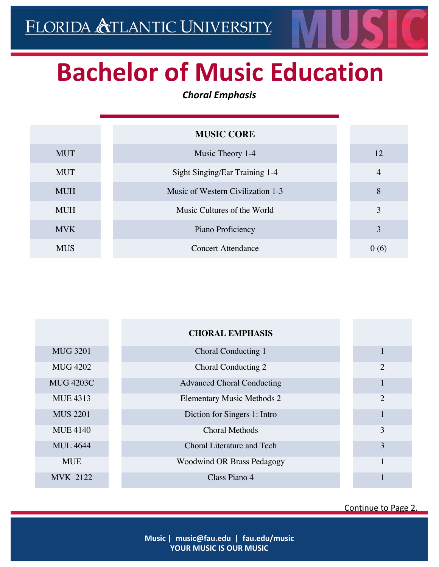## **Bachelor of Music Education**

## *Choral Emphasis*

|            | <b>MUSIC CORE</b>                 |                |
|------------|-----------------------------------|----------------|
| <b>MUT</b> | Music Theory 1-4                  | 12             |
| <b>MUT</b> | Sight Singing/Ear Training 1-4    | $\overline{4}$ |
| <b>MUH</b> | Music of Western Civilization 1-3 | 8              |
| <b>MUH</b> | Music Cultures of the World       | 3              |
| <b>MVK</b> | Piano Proficiency                 | 3              |
| <b>MUS</b> | <b>Concert Attendance</b>         | 0(6)           |

|                  | <b>CHORAL EMPHASIS</b>            |   |
|------------------|-----------------------------------|---|
| <b>MUG 3201</b>  | Choral Conducting 1               | 1 |
| <b>MUG 4202</b>  | Choral Conducting 2               | 2 |
| <b>MUG 4203C</b> | <b>Advanced Choral Conducting</b> |   |
| <b>MUE 4313</b>  | <b>Elementary Music Methods 2</b> | 2 |
| <b>MUS 2201</b>  | Diction for Singers 1: Intro      | 1 |
| <b>MUE 4140</b>  | <b>Choral Methods</b>             | 3 |
| <b>MUL 4644</b>  | <b>Choral Literature and Tech</b> | 3 |
| <b>MUE</b>       | <b>Woodwind OR Brass Pedagogy</b> | 1 |
| <b>MVK 2122</b>  | Class Piano 4                     |   |

Continue to Page 2.

**Music | music@fau.edu | fau.edu/music YOUR MUSIC IS OUR MUSIC**